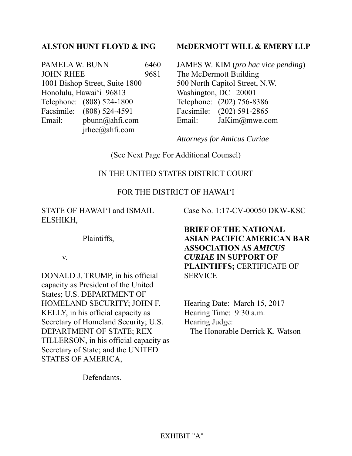### **ALSTON HUNT FLOYD & ING**

PAMELA W. BUNN 6460 JOHN RHEE 9681 1001 Bishop Street, Suite 1800 Honolulu, Hawai'i 96813 Telephone: (808) 524-1800 Facsimile: (808) 524-4591 Email: pbunn@ahfi.com jrhee@ahfi.com

#### **McDERMOTT WILL & EMERY LLP**

JAMES W. KIM (*pro hac vice pending*) The McDermott Building 500 North Capitol Street, N.W. Washington, DC 20001 Telephone: (202) 756-8386 Facsimile: (202) 591-2865 Email: JaKim@mwe.com

*Attorneys for Amicus Curiae*

(See Next Page For Additional Counsel)

### IN THE UNITED STATES DISTRICT COURT

#### FOR THE DISTRICT OF HAWAI'I

STATE OF HAWAI'I and ISMAIL ELSHIKH,

Plaintiffs,

v.

DONALD J. TRUMP, in his official capacity as President of the United States; U.S. DEPARTMENT OF HOMELAND SECURITY; JOHN F. KELLY, in his official capacity as Secretary of Homeland Security; U.S. DEPARTMENT OF STATE; REX TILLERSON, in his official capacity as Secretary of State; and the UNITED STATES OF AMERICA,

Defendants.

Case No. 1:17-CV-00050 DKW-KSC

**BRIEF OF THE NATIONAL ASIAN PACIFIC AMERICAN BAR ASSOCIATION AS** *AMICUS CURIAE* **IN SUPPORT OF PLAINTIFFS;** CERTIFICATE OF **SERVICE** 

Hearing Date: March 15, 2017 Hearing Time: 9:30 a.m. Hearing Judge: The Honorable Derrick K. Watson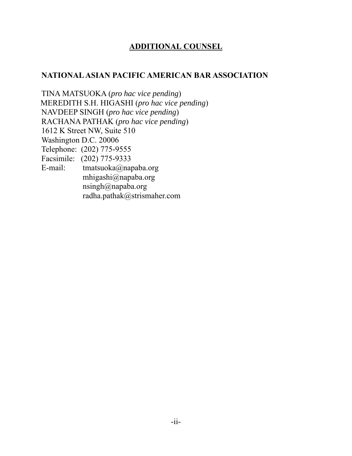## **ADDITIONAL COUNSEL**

### **NATIONAL ASIAN PACIFIC AMERICAN BAR ASSOCIATION**

TINA MATSUOKA (*pro hac vice pending*) MEREDITH S.H. HIGASHI (*pro hac vice pending*) NAVDEEP SINGH (*pro hac vice pending*) RACHANA PATHAK (*pro hac vice pending*) 1612 K Street NW, Suite 510 Washington D.C. 20006 Telephone: (202) 775-9555 Facsimile: (202) 775-9333 E-mail: tmatsuoka@napaba.org mhigashi@napaba.org nsingh@napaba.org radha.pathak@strismaher.com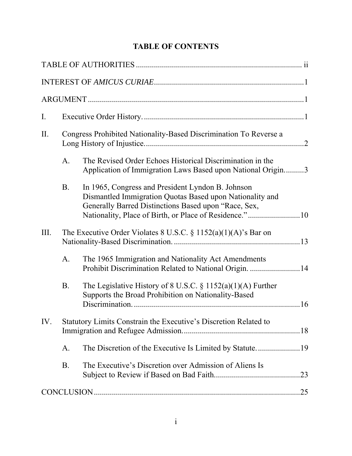## **TABLE OF CONTENTS**

| Ι.   |                                                                   |                                                                                                                                                                       |  |
|------|-------------------------------------------------------------------|-----------------------------------------------------------------------------------------------------------------------------------------------------------------------|--|
| II.  | Congress Prohibited Nationality-Based Discrimination To Reverse a |                                                                                                                                                                       |  |
|      | A.                                                                | The Revised Order Echoes Historical Discrimination in the<br>Application of Immigration Laws Based upon National Origin3                                              |  |
|      | <b>B.</b>                                                         | In 1965, Congress and President Lyndon B. Johnson<br>Dismantled Immigration Quotas Based upon Nationality and<br>Generally Barred Distinctions Based upon "Race, Sex, |  |
| III. | The Executive Order Violates 8 U.S.C. § 1152(a)(1)(A)'s Bar on    |                                                                                                                                                                       |  |
|      | A.                                                                | The 1965 Immigration and Nationality Act Amendments<br>Prohibit Discrimination Related to National Origin. 14                                                         |  |
|      | <b>B.</b>                                                         | The Legislative History of 8 U.S.C. $\S 1152(a)(1)(A)$ Further<br>Supports the Broad Prohibition on Nationality-Based                                                 |  |
| IV.  | Statutory Limits Constrain the Executive's Discretion Related to  |                                                                                                                                                                       |  |
|      | A.                                                                |                                                                                                                                                                       |  |
|      | <b>B.</b>                                                         | The Executive's Discretion over Admission of Aliens Is                                                                                                                |  |
|      |                                                                   |                                                                                                                                                                       |  |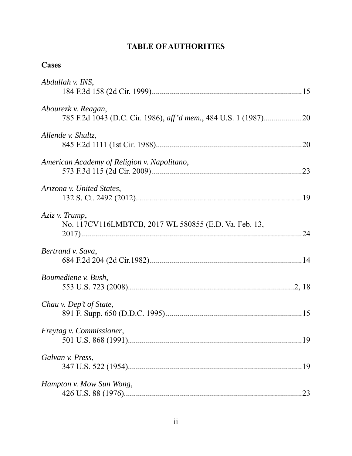## **TABLE OF AUTHORITIES**

| ase |
|-----|
|-----|

| Abdullah v. INS,                                                        |
|-------------------------------------------------------------------------|
| Abourezk v. Reagan,                                                     |
| Allende v. Shultz,                                                      |
| American Academy of Religion v. Napolitano,                             |
| Arizona v. United States,                                               |
| Aziz v. Trump,<br>No. 117CV116LMBTCB, 2017 WL 580855 (E.D. Va. Feb. 13, |
| Bertrand v. Sava,                                                       |
| Boumediene v. Bush,                                                     |
| Chau v. Dep't of State,                                                 |
| Freytag v. Commissioner,                                                |
| Galvan v. Press,                                                        |
| Hampton v. Mow Sun Wong,<br>.23                                         |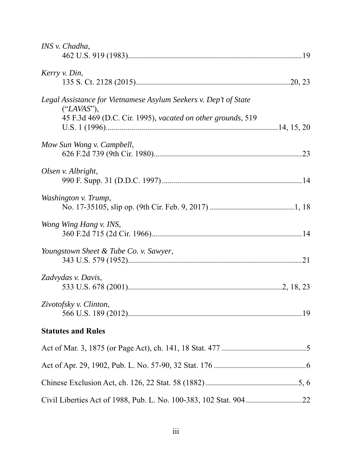| INS v. Chadha,                                                                                                                                |  |
|-----------------------------------------------------------------------------------------------------------------------------------------------|--|
| Kerry v. Din,                                                                                                                                 |  |
| Legal Assistance for Vietnamese Asylum Seekers v. Dep't of State<br>("LAVAS"),<br>45 F.3d 469 (D.C. Cir. 1995), vacated on other grounds, 519 |  |
| Mow Sun Wong v. Campbell,                                                                                                                     |  |
| Olsen v. Albright,                                                                                                                            |  |
| Washington v. Trump,                                                                                                                          |  |
| Wong Wing Hang v. INS,                                                                                                                        |  |
| Youngstown Sheet & Tube Co. v. Sawyer,                                                                                                        |  |
| Zadvydas v. Davis,                                                                                                                            |  |
| Zivotofsky v. Clinton,                                                                                                                        |  |
| <b>Statutes and Rules</b>                                                                                                                     |  |
|                                                                                                                                               |  |
|                                                                                                                                               |  |
|                                                                                                                                               |  |
|                                                                                                                                               |  |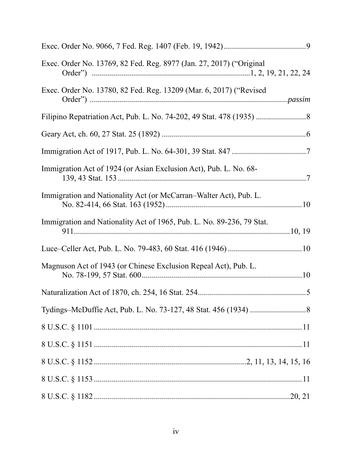| Exec. Order No. 13769, 82 Fed. Reg. 8977 (Jan. 27, 2017) ("Original   |
|-----------------------------------------------------------------------|
| Exec. Order No. 13780, 82 Fed. Reg. 13209 (Mar. 6, 2017) ("Revised    |
|                                                                       |
|                                                                       |
|                                                                       |
| Immigration Act of 1924 (or Asian Exclusion Act), Pub. L. No. 68-     |
| Immigration and Nationality Act (or McCarran-Walter Act), Pub. L.     |
| Immigration and Nationality Act of 1965, Pub. L. No. 89-236, 79 Stat. |
|                                                                       |
| Magnuson Act of 1943 (or Chinese Exclusion Repeal Act), Pub. L.       |
|                                                                       |
|                                                                       |
|                                                                       |
|                                                                       |
|                                                                       |
|                                                                       |
|                                                                       |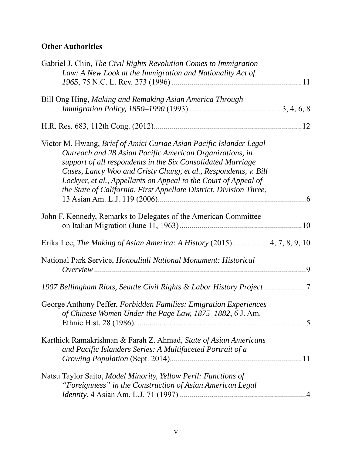## **Other Authorities**

| Gabriel J. Chin, The Civil Rights Revolution Comes to Immigration<br>Law: A New Look at the Immigration and Nationality Act of                                                                                                                                                                                                                                                                             |
|------------------------------------------------------------------------------------------------------------------------------------------------------------------------------------------------------------------------------------------------------------------------------------------------------------------------------------------------------------------------------------------------------------|
| Bill Ong Hing, Making and Remaking Asian America Through                                                                                                                                                                                                                                                                                                                                                   |
|                                                                                                                                                                                                                                                                                                                                                                                                            |
| Victor M. Hwang, Brief of Amici Curiae Asian Pacific Islander Legal<br>Outreach and 28 Asian Pacific American Organizations, in<br>support of all respondents in the Six Consolidated Marriage<br>Cases, Lancy Woo and Cristy Chung, et al., Respondents, v. Bill<br>Lockyer, et al., Appellants on Appeal to the Court of Appeal of<br>the State of California, First Appellate District, Division Three, |
| John F. Kennedy, Remarks to Delegates of the American Committee                                                                                                                                                                                                                                                                                                                                            |
| Erika Lee, The Making of Asian America: A History (2015) 4, 7, 8, 9, 10                                                                                                                                                                                                                                                                                                                                    |
| National Park Service, Honouliuli National Monument: Historical                                                                                                                                                                                                                                                                                                                                            |
| 1907 Bellingham Riots, Seattle Civil Rights & Labor History Project                                                                                                                                                                                                                                                                                                                                        |
| George Anthony Peffer, Forbidden Families: Emigration Experiences<br>of Chinese Women Under the Page Law, 1875–1882, 6 J. Am.                                                                                                                                                                                                                                                                              |
| Karthick Ramakrishnan & Farah Z. Ahmad, State of Asian Americans<br>and Pacific Islanders Series: A Multifaceted Portrait of a                                                                                                                                                                                                                                                                             |
| Natsu Taylor Saito, Model Minority, Yellow Peril: Functions of<br>"Foreignness" in the Construction of Asian American Legal                                                                                                                                                                                                                                                                                |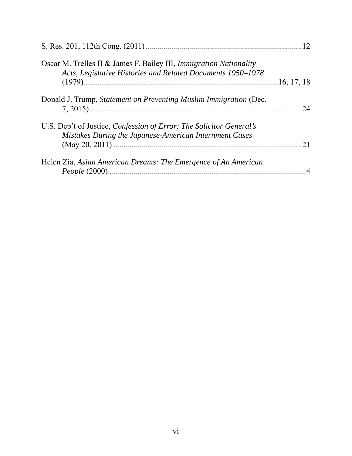| Oscar M. Trelles II & James F. Bailey III, Immigration Nationality<br>Acts, Legislative Histories and Related Documents 1950-1978 |     |
|-----------------------------------------------------------------------------------------------------------------------------------|-----|
|                                                                                                                                   |     |
| Donald J. Trump, Statement on Preventing Muslim Immigration (Dec.                                                                 | .24 |
| U.S. Dep't of Justice, Confession of Error: The Solicitor General's                                                               |     |
| Mistakes During the Japanese-American Internment Cases                                                                            |     |
|                                                                                                                                   |     |
| Helen Zia, Asian American Dreams: The Emergence of An American                                                                    |     |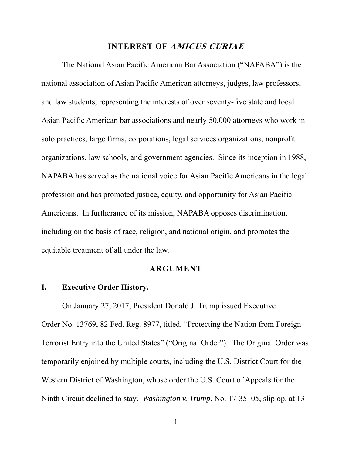#### **INTEREST OF AMICUS CURIAE**

The National Asian Pacific American Bar Association ("NAPABA") is the national association of Asian Pacific American attorneys, judges, law professors, and law students, representing the interests of over seventy-five state and local Asian Pacific American bar associations and nearly 50,000 attorneys who work in solo practices, large firms, corporations, legal services organizations, nonprofit organizations, law schools, and government agencies. Since its inception in 1988, NAPABA has served as the national voice for Asian Pacific Americans in the legal profession and has promoted justice, equity, and opportunity for Asian Pacific Americans. In furtherance of its mission, NAPABA opposes discrimination, including on the basis of race, religion, and national origin, and promotes the equitable treatment of all under the law.

#### **ARGUMENT**

#### **I. Executive Order History.**

On January 27, 2017, President Donald J. Trump issued Executive Order No. 13769, 82 Fed. Reg. 8977, titled, "Protecting the Nation from Foreign Terrorist Entry into the United States" ("Original Order"). The Original Order was temporarily enjoined by multiple courts, including the U.S. District Court for the Western District of Washington, whose order the U.S. Court of Appeals for the Ninth Circuit declined to stay. *Washington v. Trump*, No. 17-35105, slip op. at 13–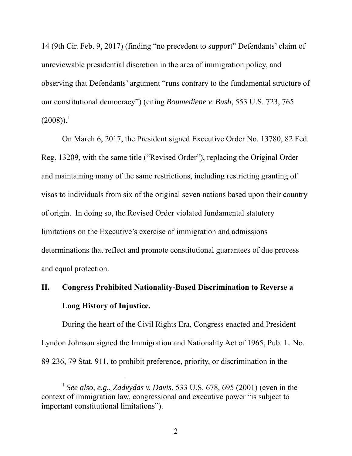14 (9th Cir. Feb. 9, 2017) (finding "no precedent to support" Defendants' claim of unreviewable presidential discretion in the area of immigration policy, and observing that Defendants' argument "runs contrary to the fundamental structure of our constitutional democracy") (citing *Boumediene v. Bush*, 553 U.S. 723, 765  $(2008)$ ).<sup>1</sup>

On March 6, 2017, the President signed Executive Order No. 13780, 82 Fed. Reg. 13209, with the same title ("Revised Order"), replacing the Original Order and maintaining many of the same restrictions, including restricting granting of visas to individuals from six of the original seven nations based upon their country of origin. In doing so, the Revised Order violated fundamental statutory limitations on the Executive's exercise of immigration and admissions determinations that reflect and promote constitutional guarantees of due process and equal protection.

## **II. Congress Prohibited Nationality-Based Discrimination to Reverse a Long History of Injustice.**

During the heart of the Civil Rights Era, Congress enacted and President Lyndon Johnson signed the Immigration and Nationality Act of 1965, Pub. L. No. 89-236, 79 Stat. 911, to prohibit preference, priority, or discrimination in the

 <sup>1</sup> *See also, e.g.*, *Zadvydas v. Davis*, 533 U.S. 678, 695 (2001) (even in the context of immigration law, congressional and executive power "is subject to important constitutional limitations").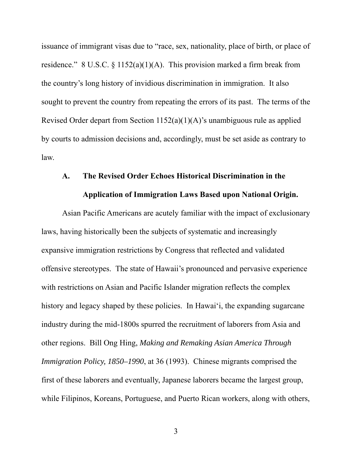issuance of immigrant visas due to "race, sex, nationality, place of birth, or place of residence." 8 U.S.C.  $\S$  1152(a)(1)(A). This provision marked a firm break from the country's long history of invidious discrimination in immigration. It also sought to prevent the country from repeating the errors of its past. The terms of the Revised Order depart from Section 1152(a)(1)(A)'s unambiguous rule as applied by courts to admission decisions and, accordingly, must be set aside as contrary to law.

#### **A. The Revised Order Echoes Historical Discrimination in the**

#### **Application of Immigration Laws Based upon National Origin.**

Asian Pacific Americans are acutely familiar with the impact of exclusionary laws, having historically been the subjects of systematic and increasingly expansive immigration restrictions by Congress that reflected and validated offensive stereotypes. The state of Hawaii's pronounced and pervasive experience with restrictions on Asian and Pacific Islander migration reflects the complex history and legacy shaped by these policies. In Hawai'i, the expanding sugarcane industry during the mid-1800s spurred the recruitment of laborers from Asia and other regions. Bill Ong Hing, *Making and Remaking Asian America Through Immigration Policy, 1850–1990*, at 36 (1993). Chinese migrants comprised the first of these laborers and eventually, Japanese laborers became the largest group, while Filipinos, Koreans, Portuguese, and Puerto Rican workers, along with others,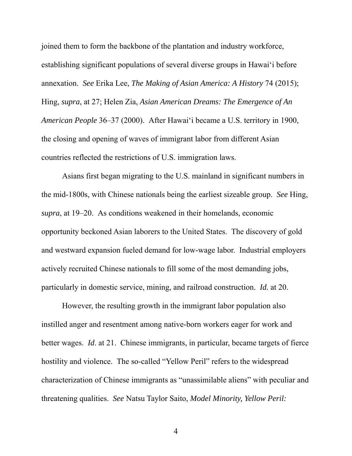joined them to form the backbone of the plantation and industry workforce, establishing significant populations of several diverse groups in Hawai'i before annexation. *See* Erika Lee, *The Making of Asian America: A History* 74 (2015); Hing, *supra*, at 27; Helen Zia, *Asian American Dreams: The Emergence of An American People* 36–37 (2000). After Hawai'i became a U.S. territory in 1900, the closing and opening of waves of immigrant labor from different Asian countries reflected the restrictions of U.S. immigration laws.

Asians first began migrating to the U.S. mainland in significant numbers in the mid-1800s, with Chinese nationals being the earliest sizeable group. *See* Hing, *supra*, at 19–20. As conditions weakened in their homelands, economic opportunity beckoned Asian laborers to the United States. The discovery of gold and westward expansion fueled demand for low-wage labor. Industrial employers actively recruited Chinese nationals to fill some of the most demanding jobs, particularly in domestic service, mining, and railroad construction. *Id.* at 20.

However, the resulting growth in the immigrant labor population also instilled anger and resentment among native-born workers eager for work and better wages. *Id*. at 21. Chinese immigrants, in particular, became targets of fierce hostility and violence. The so-called "Yellow Peril" refers to the widespread characterization of Chinese immigrants as "unassimilable aliens" with peculiar and threatening qualities. *See* Natsu Taylor Saito, *Model Minority, Yellow Peril:*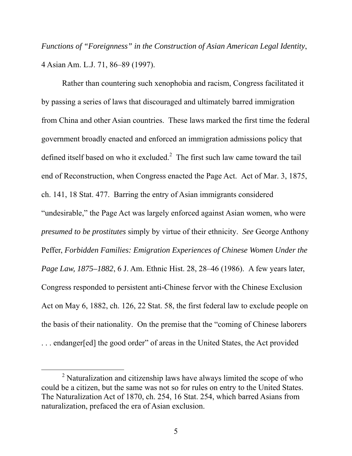*Functions of "Foreignness" in the Construction of Asian American Legal Identity*, 4 Asian Am. L.J. 71, 86–89 (1997).

Rather than countering such xenophobia and racism, Congress facilitated it by passing a series of laws that discouraged and ultimately barred immigration from China and other Asian countries. These laws marked the first time the federal government broadly enacted and enforced an immigration admissions policy that defined itself based on who it excluded.<sup>2</sup> The first such law came toward the tail end of Reconstruction, when Congress enacted the Page Act. Act of Mar. 3, 1875, ch. 141, 18 Stat. 477. Barring the entry of Asian immigrants considered "undesirable," the Page Act was largely enforced against Asian women, who were *presumed to be prostitutes* simply by virtue of their ethnicity. *See* George Anthony Peffer, *Forbidden Families: Emigration Experiences of Chinese Women Under the Page Law, 1875–1882*, 6 J. Am. Ethnic Hist. 28, 28–46 (1986). A few years later, Congress responded to persistent anti-Chinese fervor with the Chinese Exclusion Act on May 6, 1882, ch. 126, 22 Stat. 58, the first federal law to exclude people on the basis of their nationality. On the premise that the "coming of Chinese laborers . . . endanger[ed] the good order" of areas in the United States, the Act provided

 <sup>2</sup>  $\alpha$ <sup>2</sup> Naturalization and citizenship laws have always limited the scope of who could be a citizen, but the same was not so for rules on entry to the United States. The Naturalization Act of 1870, ch. 254, 16 Stat. 254, which barred Asians from naturalization, prefaced the era of Asian exclusion.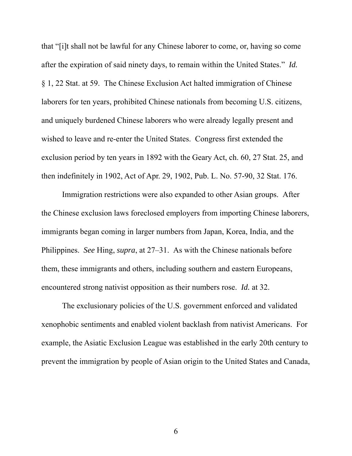that "[i]t shall not be lawful for any Chinese laborer to come, or, having so come after the expiration of said ninety days, to remain within the United States." *Id.* § 1, 22 Stat. at 59. The Chinese Exclusion Act halted immigration of Chinese laborers for ten years, prohibited Chinese nationals from becoming U.S. citizens, and uniquely burdened Chinese laborers who were already legally present and wished to leave and re-enter the United States. Congress first extended the exclusion period by ten years in 1892 with the Geary Act, ch. 60, 27 Stat. 25, and then indefinitely in 1902, Act of Apr. 29, 1902, Pub. L. No. 57-90, 32 Stat. 176.

Immigration restrictions were also expanded to other Asian groups. After the Chinese exclusion laws foreclosed employers from importing Chinese laborers, immigrants began coming in larger numbers from Japan, Korea, India, and the Philippines. *See* Hing, *supra*, at 27–31. As with the Chinese nationals before them, these immigrants and others, including southern and eastern Europeans, encountered strong nativist opposition as their numbers rose. *Id.* at 32.

The exclusionary policies of the U.S. government enforced and validated xenophobic sentiments and enabled violent backlash from nativist Americans. For example, the Asiatic Exclusion League was established in the early 20th century to prevent the immigration by people of Asian origin to the United States and Canada,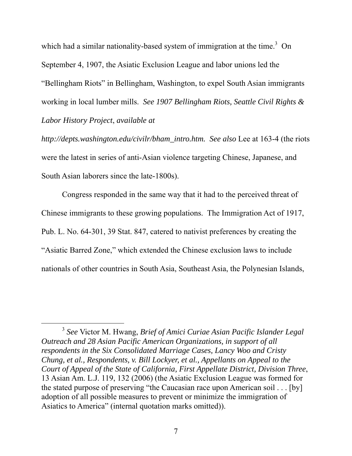which had a similar nationality-based system of immigration at the time.<sup>3</sup> On September 4, 1907, the Asiatic Exclusion League and labor unions led the "Bellingham Riots" in Bellingham, Washington, to expel South Asian immigrants working in local lumber mills. *See 1907 Bellingham Riots, Seattle Civil Rights & Labor History Project*, *available at* 

*http://depts.washington.edu/civilr/bham\_intro.htm. See also* Lee at 163-4 (the riots were the latest in series of anti-Asian violence targeting Chinese, Japanese, and South Asian laborers since the late-1800s).

Congress responded in the same way that it had to the perceived threat of Chinese immigrants to these growing populations. The Immigration Act of 1917, Pub. L. No. 64-301, 39 Stat. 847, catered to nativist preferences by creating the "Asiatic Barred Zone," which extended the Chinese exclusion laws to include nationals of other countries in South Asia, Southeast Asia, the Polynesian Islands,

 <sup>3</sup> *See* Victor M. Hwang, *Brief of Amici Curiae Asian Pacific Islander Legal Outreach and 28 Asian Pacific American Organizations, in support of all respondents in the Six Consolidated Marriage Cases, Lancy Woo and Cristy Chung, et al., Respondents, v. Bill Lockyer, et al., Appellants on Appeal to the Court of Appeal of the State of California, First Appellate District, Division Three*, 13 Asian Am. L.J. 119, 132 (2006) (the Asiatic Exclusion League was formed for the stated purpose of preserving "the Caucasian race upon American soil . . . [by] adoption of all possible measures to prevent or minimize the immigration of Asiatics to America" (internal quotation marks omitted)).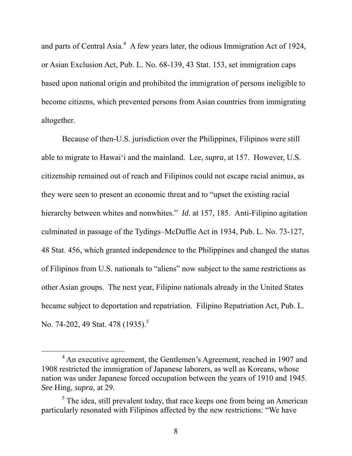and parts of Central Asia. $4\,$  A few years later, the odious Immigration Act of 1924, or Asian Exclusion Act, Pub. L. No. 68-139, 43 Stat. 153, set immigration caps based upon national origin and prohibited the immigration of persons ineligible to become citizens, which prevented persons from Asian countries from immigrating altogether.

Because of then-U.S. jurisdiction over the Philippines, Filipinos were still able to migrate to Hawai'i and the mainland. Lee, *supra*, at 157. However, U.S. citizenship remained out of reach and Filipinos could not escape racial animus, as they were seen to present an economic threat and to "upset the existing racial hierarchy between whites and nonwhites." *Id*. at 157, 185. Anti-Filipino agitation culminated in passage of the Tydings–McDuffie Act in 1934, Pub. L. No. 73-127, 48 Stat. 456, which granted independence to the Philippines and changed the status of Filipinos from U.S. nationals to "aliens" now subject to the same restrictions as other Asian groups. The next year, Filipino nationals already in the United States became subject to deportation and repatriation. Filipino Repatriation Act, Pub. L. No. 74-202, 49 Stat. 478 (1935).<sup>5</sup>

 $\frac{1}{4}$ <sup>4</sup> An executive agreement, the Gentlemen's Agreement, reached in 1907 and 1908 restricted the immigration of Japanese laborers, as well as Koreans, whose nation was under Japanese forced occupation between the years of 1910 and 1945. *See* Hing, *supra*, at 29.

 $<sup>5</sup>$  The idea, still prevalent today, that race keeps one from being an American</sup> particularly resonated with Filipinos affected by the new restrictions: "We have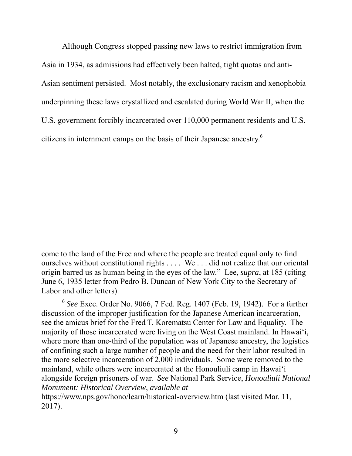Although Congress stopped passing new laws to restrict immigration from Asia in 1934, as admissions had effectively been halted, tight quotas and anti-Asian sentiment persisted. Most notably, the exclusionary racism and xenophobia underpinning these laws crystallized and escalated during World War II, when the U.S. government forcibly incarcerated over 110,000 permanent residents and U.S. citizens in internment camps on the basis of their Japanese ancestry.6

come to the land of the Free and where the people are treated equal only to find ourselves without constitutional rights . . . . We . . . did not realize that our oriental origin barred us as human being in the eyes of the law." Lee, *supra*, at 185 (citing June 6, 1935 letter from Pedro B. Duncan of New York City to the Secretary of Labor and other letters).

-

<sup>6</sup> *See* Exec. Order No. 9066, 7 Fed. Reg. 1407 (Feb. 19, 1942). For a further discussion of the improper justification for the Japanese American incarceration, see the amicus brief for the Fred T. Korematsu Center for Law and Equality. The majority of those incarcerated were living on the West Coast mainland. In Hawai'i, where more than one-third of the population was of Japanese ancestry, the logistics of confining such a large number of people and the need for their labor resulted in the more selective incarceration of 2,000 individuals. Some were removed to the mainland, while others were incarcerated at the Honouliuli camp in Hawai'i alongside foreign prisoners of war. *See* National Park Service, *Honouliuli National Monument: Historical Overview*, *available at* 

https://www.nps.gov/hono/learn/historical-overview.htm (last visited Mar. 11, 2017).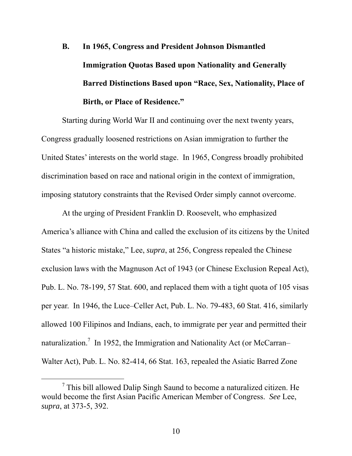# **B. In 1965, Congress and President Johnson Dismantled Immigration Quotas Based upon Nationality and Generally Barred Distinctions Based upon "Race, Sex, Nationality, Place of Birth, or Place of Residence."**

Starting during World War II and continuing over the next twenty years, Congress gradually loosened restrictions on Asian immigration to further the United States' interests on the world stage. In 1965, Congress broadly prohibited discrimination based on race and national origin in the context of immigration, imposing statutory constraints that the Revised Order simply cannot overcome.

At the urging of President Franklin D. Roosevelt, who emphasized America's alliance with China and called the exclusion of its citizens by the United States "a historic mistake," Lee, *supra*, at 256, Congress repealed the Chinese exclusion laws with the Magnuson Act of 1943 (or Chinese Exclusion Repeal Act), Pub. L. No. 78-199, 57 Stat. 600, and replaced them with a tight quota of 105 visas per year. In 1946, the Luce–Celler Act, Pub. L. No. 79-483, 60 Stat. 416, similarly allowed 100 Filipinos and Indians, each, to immigrate per year and permitted their naturalization.<sup>7</sup> In 1952, the Immigration and Nationality Act (or McCarran– Walter Act), Pub. L. No. 82-414, 66 Stat. 163, repealed the Asiatic Barred Zone

 $\frac{1}{7}$  $\frac{7}{7}$  This bill allowed Dalip Singh Saund to become a naturalized citizen. He would become the first Asian Pacific American Member of Congress. *See* Lee, *supra*, at 373-5, 392.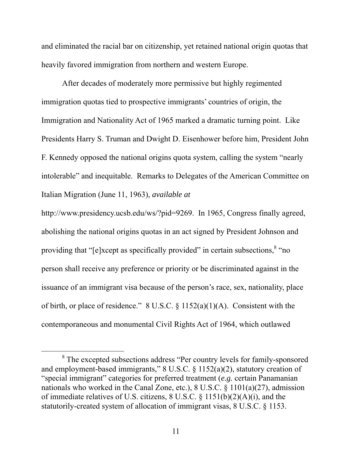and eliminated the racial bar on citizenship, yet retained national origin quotas that heavily favored immigration from northern and western Europe.

After decades of moderately more permissive but highly regimented immigration quotas tied to prospective immigrants' countries of origin, the Immigration and Nationality Act of 1965 marked a dramatic turning point. Like Presidents Harry S. Truman and Dwight D. Eisenhower before him, President John F. Kennedy opposed the national origins quota system, calling the system "nearly intolerable" and inequitable. Remarks to Delegates of the American Committee on Italian Migration (June 11, 1963), *available at* 

http://www.presidency.ucsb.edu/ws/?pid=9269. In 1965, Congress finally agreed, abolishing the national origins quotas in an act signed by President Johnson and providing that "[e]xcept as specifically provided" in certain subsections,  $8$  "no person shall receive any preference or priority or be discriminated against in the issuance of an immigrant visa because of the person's race, sex, nationality, place of birth, or place of residence." 8 U.S.C. § 1152(a)(1)(A). Consistent with the contemporaneous and monumental Civil Rights Act of 1964, which outlawed

 <sup>8</sup> The excepted subsections address "Per country levels for family-sponsored and employment-based immigrants," 8 U.S.C. § 1152(a)(2), statutory creation of "special immigrant" categories for preferred treatment (*e.g.* certain Panamanian nationals who worked in the Canal Zone, etc.), 8 U.S.C. § 1101(a)(27), admission of immediate relatives of U.S. citizens, 8 U.S.C. § 1151(b)(2)(A)(i), and the statutorily-created system of allocation of immigrant visas, 8 U.S.C. § 1153.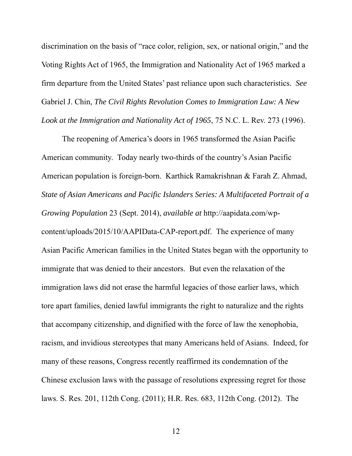discrimination on the basis of "race color, religion, sex, or national origin," and the Voting Rights Act of 1965, the Immigration and Nationality Act of 1965 marked a firm departure from the United States' past reliance upon such characteristics. *See*  Gabriel J. Chin, *The Civil Rights Revolution Comes to Immigration Law: A New Look at the Immigration and Nationality Act of 1965*, 75 N.C. L. Rev. 273 (1996).

The reopening of America's doors in 1965 transformed the Asian Pacific American community. Today nearly two-thirds of the country's Asian Pacific American population is foreign-born. Karthick Ramakrishnan & Farah Z. Ahmad, *State of Asian Americans and Pacific Islanders Series: A Multifaceted Portrait of a Growing Population* 23 (Sept. 2014), *available at* http://aapidata.com/wpcontent/uploads/2015/10/AAPIData-CAP-report.pdf. The experience of many Asian Pacific American families in the United States began with the opportunity to immigrate that was denied to their ancestors. But even the relaxation of the immigration laws did not erase the harmful legacies of those earlier laws, which tore apart families, denied lawful immigrants the right to naturalize and the rights that accompany citizenship, and dignified with the force of law the xenophobia, racism, and invidious stereotypes that many Americans held of Asians. Indeed, for many of these reasons, Congress recently reaffirmed its condemnation of the Chinese exclusion laws with the passage of resolutions expressing regret for those laws. S. Res. 201, 112th Cong. (2011); H.R. Res. 683, 112th Cong. (2012). The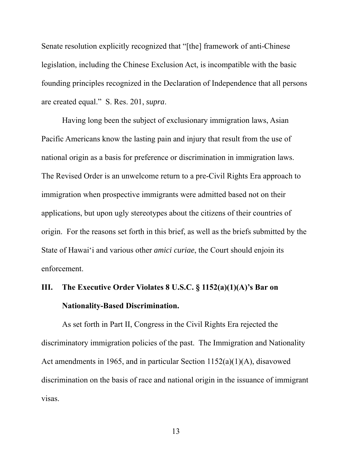Senate resolution explicitly recognized that "[the] framework of anti-Chinese legislation, including the Chinese Exclusion Act, is incompatible with the basic founding principles recognized in the Declaration of Independence that all persons are created equal." S. Res. 201, *supra*.

Having long been the subject of exclusionary immigration laws, Asian Pacific Americans know the lasting pain and injury that result from the use of national origin as a basis for preference or discrimination in immigration laws. The Revised Order is an unwelcome return to a pre-Civil Rights Era approach to immigration when prospective immigrants were admitted based not on their applications, but upon ugly stereotypes about the citizens of their countries of origin. For the reasons set forth in this brief, as well as the briefs submitted by the State of Hawai'i and various other *amici curiae*, the Court should enjoin its enforcement.

## **III. The Executive Order Violates 8 U.S.C. § 1152(a)(1)(A)'s Bar on Nationality-Based Discrimination.**

As set forth in Part II, Congress in the Civil Rights Era rejected the discriminatory immigration policies of the past. The Immigration and Nationality Act amendments in 1965, and in particular Section 1152(a)(1)(A), disavowed discrimination on the basis of race and national origin in the issuance of immigrant visas.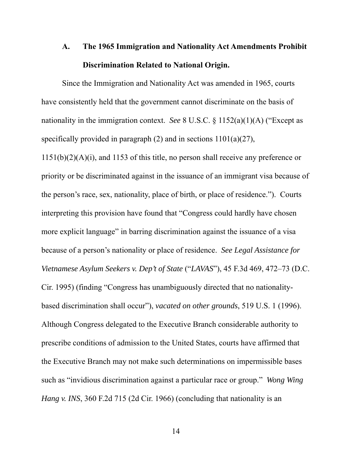## **A. The 1965 Immigration and Nationality Act Amendments Prohibit Discrimination Related to National Origin.**

Since the Immigration and Nationality Act was amended in 1965, courts have consistently held that the government cannot discriminate on the basis of nationality in the immigration context. *See* 8 U.S.C. § 1152(a)(1)(A) ("Except as specifically provided in paragraph  $(2)$  and in sections  $1101(a)(27)$ , 1151(b)(2)(A)(i), and 1153 of this title, no person shall receive any preference or priority or be discriminated against in the issuance of an immigrant visa because of the person's race, sex, nationality, place of birth, or place of residence."). Courts interpreting this provision have found that "Congress could hardly have chosen more explicit language" in barring discrimination against the issuance of a visa because of a person's nationality or place of residence. *See Legal Assistance for Vietnamese Asylum Seekers v. Dep't of State* ("*LAVAS*"), 45 F.3d 469, 472–73 (D.C. Cir. 1995) (finding "Congress has unambiguously directed that no nationalitybased discrimination shall occur"), *vacated on other grounds*, 519 U.S. 1 (1996). Although Congress delegated to the Executive Branch considerable authority to prescribe conditions of admission to the United States, courts have affirmed that the Executive Branch may not make such determinations on impermissible bases such as "invidious discrimination against a particular race or group." *Wong Wing Hang v. INS*, 360 F.2d 715 (2d Cir. 1966) (concluding that nationality is an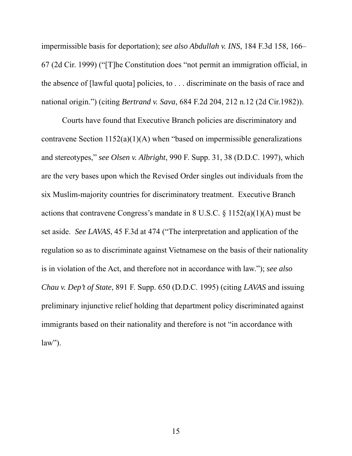impermissible basis for deportation); *see also Abdullah v. INS*, 184 F.3d 158, 166– 67 (2d Cir. 1999) ("[T]he Constitution does "not permit an immigration official, in the absence of [lawful quota] policies, to . . . discriminate on the basis of race and national origin.") (citing *Bertrand v. Sava*, 684 F.2d 204, 212 n.12 (2d Cir.1982)).

Courts have found that Executive Branch policies are discriminatory and contravene Section  $1152(a)(1)(A)$  when "based on impermissible generalizations" and stereotypes," *see Olsen v. Albright*, 990 F. Supp. 31, 38 (D.D.C. 1997), which are the very bases upon which the Revised Order singles out individuals from the six Muslim-majority countries for discriminatory treatment. Executive Branch actions that contravene Congress's mandate in 8 U.S.C. § 1152(a)(1)(A) must be set aside. *See LAVAS*, 45 F.3d at 474 ("The interpretation and application of the regulation so as to discriminate against Vietnamese on the basis of their nationality is in violation of the Act, and therefore not in accordance with law."); *see also Chau v. Dep't of State*, 891 F. Supp. 650 (D.D.C. 1995) (citing *LAVAS* and issuing preliminary injunctive relief holding that department policy discriminated against immigrants based on their nationality and therefore is not "in accordance with  $law$ ").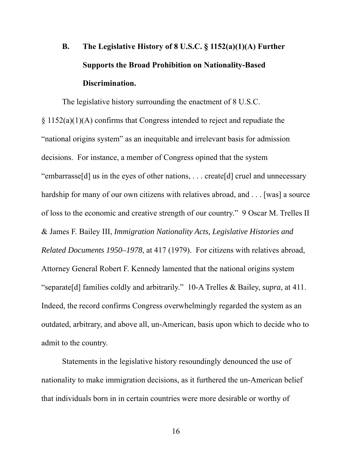# **B. The Legislative History of 8 U.S.C. § 1152(a)(1)(A) Further Supports the Broad Prohibition on Nationality-Based Discrimination.**

The legislative history surrounding the enactment of 8 U.S.C. § 1152(a)(1)(A) confirms that Congress intended to reject and repudiate the "national origins system" as an inequitable and irrelevant basis for admission decisions. For instance, a member of Congress opined that the system "embarrasse[d] us in the eyes of other nations, . . . create[d] cruel and unnecessary hardship for many of our own citizens with relatives abroad, and ... [was] a source of loss to the economic and creative strength of our country." 9 Oscar M. Trelles II & James F. Bailey III, *Immigration Nationality Acts, Legislative Histories and Related Documents 1950–1978*, at 417 (1979). For citizens with relatives abroad, Attorney General Robert F. Kennedy lamented that the national origins system "separate[d] families coldly and arbitrarily." 10-A Trelles & Bailey, *supra*, at 411. Indeed, the record confirms Congress overwhelmingly regarded the system as an outdated, arbitrary, and above all, un-American, basis upon which to decide who to admit to the country.

Statements in the legislative history resoundingly denounced the use of nationality to make immigration decisions, as it furthered the un-American belief that individuals born in in certain countries were more desirable or worthy of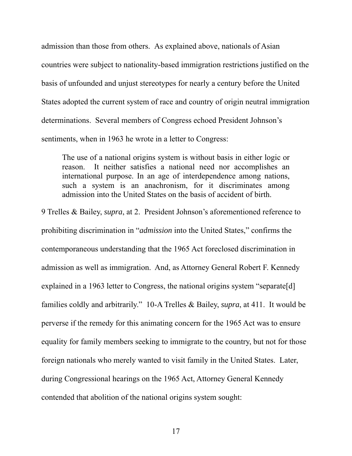admission than those from others. As explained above, nationals of Asian countries were subject to nationality-based immigration restrictions justified on the basis of unfounded and unjust stereotypes for nearly a century before the United States adopted the current system of race and country of origin neutral immigration determinations. Several members of Congress echoed President Johnson's sentiments, when in 1963 he wrote in a letter to Congress:

The use of a national origins system is without basis in either logic or reason. It neither satisfies a national need nor accomplishes an international purpose. In an age of interdependence among nations, such a system is an anachronism, for it discriminates among admission into the United States on the basis of accident of birth.

9 Trelles & Bailey, *supra*, at 2. President Johnson's aforementioned reference to prohibiting discrimination in "*admission* into the United States," confirms the contemporaneous understanding that the 1965 Act foreclosed discrimination in admission as well as immigration. And, as Attorney General Robert F. Kennedy explained in a 1963 letter to Congress, the national origins system "separate[d] families coldly and arbitrarily." 10-A Trelles & Bailey, *supra*, at 411. It would be perverse if the remedy for this animating concern for the 1965 Act was to ensure equality for family members seeking to immigrate to the country, but not for those foreign nationals who merely wanted to visit family in the United States. Later, during Congressional hearings on the 1965 Act, Attorney General Kennedy contended that abolition of the national origins system sought: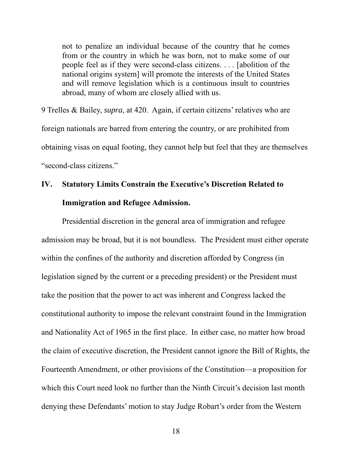not to penalize an individual because of the country that he comes from or the country in which he was born, not to make some of our people feel as if they were second-class citizens. . . . [abolition of the national origins system] will promote the interests of the United States and will remove legislation which is a continuous insult to countries abroad, many of whom are closely allied with us.

9 Trelles & Bailey, *supra*, at 420. Again, if certain citizens' relatives who are foreign nationals are barred from entering the country, or are prohibited from obtaining visas on equal footing, they cannot help but feel that they are themselves "second-class citizens."

## **IV. Statutory Limits Constrain the Executive's Discretion Related to Immigration and Refugee Admission.**

Presidential discretion in the general area of immigration and refugee admission may be broad, but it is not boundless. The President must either operate within the confines of the authority and discretion afforded by Congress (in legislation signed by the current or a preceding president) or the President must take the position that the power to act was inherent and Congress lacked the constitutional authority to impose the relevant constraint found in the Immigration and Nationality Act of 1965 in the first place. In either case, no matter how broad the claim of executive discretion, the President cannot ignore the Bill of Rights, the Fourteenth Amendment, or other provisions of the Constitution—a proposition for which this Court need look no further than the Ninth Circuit's decision last month denying these Defendants' motion to stay Judge Robart's order from the Western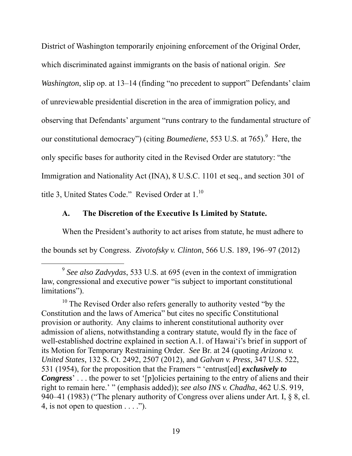District of Washington temporarily enjoining enforcement of the Original Order, which discriminated against immigrants on the basis of national origin. *See Washington*, slip op. at 13–14 (finding "no precedent to support" Defendants' claim of unreviewable presidential discretion in the area of immigration policy, and observing that Defendants' argument "runs contrary to the fundamental structure of our constitutional democracy") (citing *Boumediene*, 553 U.S. at 765). <sup>9</sup> Here, the only specific bases for authority cited in the Revised Order are statutory: "the Immigration and Nationality Act (INA), 8 U.S.C. 1101 et seq., and section 301 of title 3, United States Code." Revised Order at 1.<sup>10</sup>

#### **A. The Discretion of the Executive Is Limited by Statute.**

When the President's authority to act arises from statute, he must adhere to the bounds set by Congress. *Zivotofsky v. Clinton*, 566 U.S. 189, 196–97 (2012)

 <sup>9</sup> *See also Zadvydas*, 533 U.S. at 695 (even in the context of immigration law, congressional and executive power "is subject to important constitutional limitations").

 $10$  The Revised Order also refers generally to authority vested "by the Constitution and the laws of America" but cites no specific Constitutional provision or authority. Any claims to inherent constitutional authority over admission of aliens, notwithstanding a contrary statute, would fly in the face of well-established doctrine explained in section A.1. of Hawai'i's brief in support of its Motion for Temporary Restraining Order. *See* Br. at 24 (quoting *Arizona v. United States*, 132 S. Ct. 2492, 2507 (2012), and *Galvan v. Press*, 347 U.S. 522, 531 (1954), for the proposition that the Framers " 'entrust[ed] *exclusively to Congress*' . . . the power to set '[p]olicies pertaining to the entry of aliens and their right to remain here.' " (emphasis added)); *see also INS v. Chadha*, 462 U.S. 919, 940–41 (1983) ("The plenary authority of Congress over aliens under Art. I, § 8, cl. 4, is not open to question  $\dots$  .").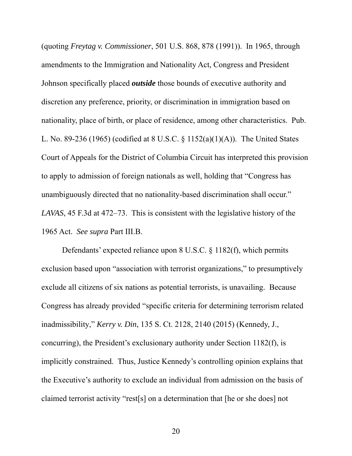(quoting *Freytag v. Commissioner*, 501 U.S. 868, 878 (1991)). In 1965, through amendments to the Immigration and Nationality Act, Congress and President Johnson specifically placed *outside* those bounds of executive authority and discretion any preference, priority, or discrimination in immigration based on nationality, place of birth, or place of residence, among other characteristics. Pub. L. No. 89-236 (1965) (codified at 8 U.S.C. § 1152(a)(1)(A)). The United States Court of Appeals for the District of Columbia Circuit has interpreted this provision to apply to admission of foreign nationals as well, holding that "Congress has unambiguously directed that no nationality-based discrimination shall occur." *LAVAS*, 45 F.3d at 472–73. This is consistent with the legislative history of the 1965 Act. *See supra* Part III.B.

Defendants' expected reliance upon 8 U.S.C. § 1182(f), which permits exclusion based upon "association with terrorist organizations," to presumptively exclude all citizens of six nations as potential terrorists, is unavailing. Because Congress has already provided "specific criteria for determining terrorism related inadmissibility," *Kerry v. Din*, 135 S. Ct. 2128, 2140 (2015) (Kennedy, J., concurring), the President's exclusionary authority under Section 1182(f), is implicitly constrained. Thus, Justice Kennedy's controlling opinion explains that the Executive's authority to exclude an individual from admission on the basis of claimed terrorist activity "rest[s] on a determination that [he or she does] not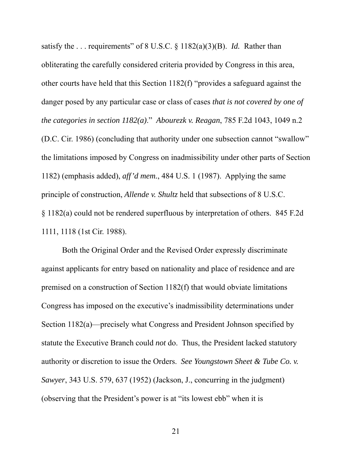satisfy the . . . requirements" of 8 U.S.C. § 1182(a)(3)(B). *Id.* Rather than obliterating the carefully considered criteria provided by Congress in this area, other courts have held that this Section 1182(f) "provides a safeguard against the danger posed by any particular case or class of cases *that is not covered by one of the categories in section 1182(a)*." *Abourezk v. Reagan*, 785 F.2d 1043, 1049 n.2 (D.C. Cir. 1986) (concluding that authority under one subsection cannot "swallow" the limitations imposed by Congress on inadmissibility under other parts of Section 1182) (emphasis added), *aff'd mem.*, 484 U.S. 1 (1987). Applying the same principle of construction, *Allende v. Shultz* held that subsections of 8 U.S.C. § 1182(a) could not be rendered superfluous by interpretation of others. 845 F.2d 1111, 1118 (1st Cir. 1988).

Both the Original Order and the Revised Order expressly discriminate against applicants for entry based on nationality and place of residence and are premised on a construction of Section 1182(f) that would obviate limitations Congress has imposed on the executive's inadmissibility determinations under Section 1182(a)—precisely what Congress and President Johnson specified by statute the Executive Branch could *not* do. Thus, the President lacked statutory authority or discretion to issue the Orders. *See Youngstown Sheet & Tube Co. v. Sawyer*, 343 U.S. 579, 637 (1952) (Jackson, J., concurring in the judgment) (observing that the President's power is at "its lowest ebb" when it is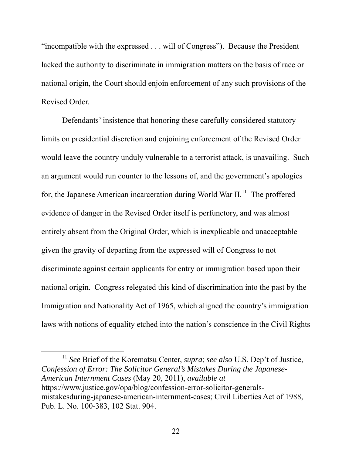"incompatible with the expressed . . . will of Congress"). Because the President lacked the authority to discriminate in immigration matters on the basis of race or national origin, the Court should enjoin enforcement of any such provisions of the Revised Order.

Defendants' insistence that honoring these carefully considered statutory limits on presidential discretion and enjoining enforcement of the Revised Order would leave the country unduly vulnerable to a terrorist attack, is unavailing. Such an argument would run counter to the lessons of, and the government's apologies for, the Japanese American incarceration during World War  $II$ <sup>11</sup>. The proffered evidence of danger in the Revised Order itself is perfunctory, and was almost entirely absent from the Original Order, which is inexplicable and unacceptable given the gravity of departing from the expressed will of Congress to not discriminate against certain applicants for entry or immigration based upon their national origin. Congress relegated this kind of discrimination into the past by the Immigration and Nationality Act of 1965, which aligned the country's immigration laws with notions of equality etched into the nation's conscience in the Civil Rights

 11 *See* Brief of the Korematsu Center, *supra*; *see also* U.S. Dep't of Justice, *Confession of Error: The Solicitor General's Mistakes During the Japanese-American Internment Cases* (May 20, 2011), *available at* https://www.justice.gov/opa/blog/confession-error-solicitor-generalsmistakesduring-japanese-american-internment-cases; Civil Liberties Act of 1988, Pub. L. No. 100-383, 102 Stat. 904.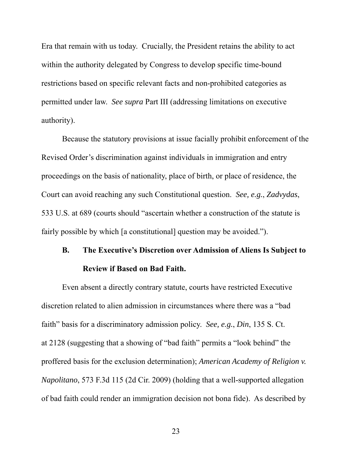Era that remain with us today. Crucially, the President retains the ability to act within the authority delegated by Congress to develop specific time-bound restrictions based on specific relevant facts and non-prohibited categories as permitted under law. *See supra* Part III (addressing limitations on executive authority).

Because the statutory provisions at issue facially prohibit enforcement of the Revised Order's discrimination against individuals in immigration and entry proceedings on the basis of nationality, place of birth, or place of residence, the Court can avoid reaching any such Constitutional question. *See, e.g.*, *Zadvydas*, 533 U.S. at 689 (courts should "ascertain whether a construction of the statute is fairly possible by which [a constitutional] question may be avoided.").

## **B. The Executive's Discretion over Admission of Aliens Is Subject to Review if Based on Bad Faith.**

Even absent a directly contrary statute, courts have restricted Executive discretion related to alien admission in circumstances where there was a "bad faith" basis for a discriminatory admission policy. *See, e.g.*, *Din*, 135 S. Ct. at 2128 (suggesting that a showing of "bad faith" permits a "look behind" the proffered basis for the exclusion determination); *American Academy of Religion v. Napolitano*, 573 F.3d 115 (2d Cir. 2009) (holding that a well-supported allegation of bad faith could render an immigration decision not bona fide). As described by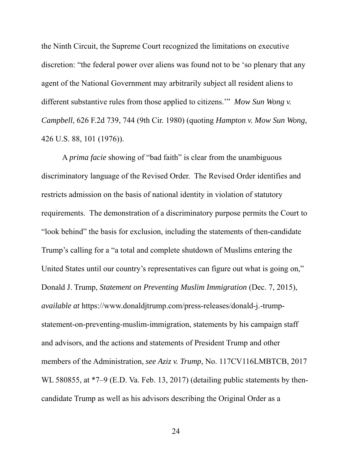the Ninth Circuit, the Supreme Court recognized the limitations on executive discretion: "the federal power over aliens was found not to be 'so plenary that any agent of the National Government may arbitrarily subject all resident aliens to different substantive rules from those applied to citizens.'" *Mow Sun Wong v. Campbell*, 626 F.2d 739, 744 (9th Cir. 1980) (quoting *Hampton v. Mow Sun Wong*, 426 U.S. 88, 101 (1976)).

A *prima facie* showing of "bad faith" is clear from the unambiguous discriminatory language of the Revised Order. The Revised Order identifies and restricts admission on the basis of national identity in violation of statutory requirements. The demonstration of a discriminatory purpose permits the Court to "look behind" the basis for exclusion, including the statements of then-candidate Trump's calling for a "a total and complete shutdown of Muslims entering the United States until our country's representatives can figure out what is going on," Donald J. Trump, *Statement on Preventing Muslim Immigration* (Dec. 7, 2015), *available at* https://www.donaldjtrump.com/press-releases/donald-j.-trumpstatement-on-preventing-muslim-immigration, statements by his campaign staff and advisors, and the actions and statements of President Trump and other members of the Administration, *see Aziz v. Trump*, No. 117CV116LMBTCB, 2017 WL 580855, at  $*7-9$  (E.D. Va. Feb. 13, 2017) (detailing public statements by thencandidate Trump as well as his advisors describing the Original Order as a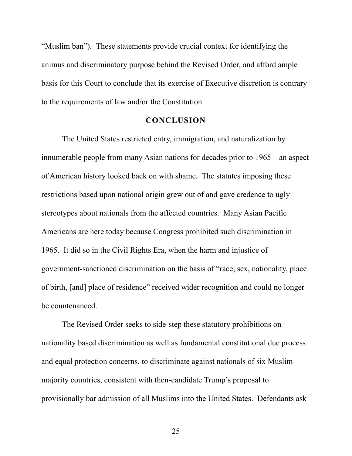"Muslim ban"). These statements provide crucial context for identifying the animus and discriminatory purpose behind the Revised Order, and afford ample basis for this Court to conclude that its exercise of Executive discretion is contrary to the requirements of law and/or the Constitution.

#### **CONCLUSION**

The United States restricted entry, immigration, and naturalization by innumerable people from many Asian nations for decades prior to 1965—an aspect of American history looked back on with shame. The statutes imposing these restrictions based upon national origin grew out of and gave credence to ugly stereotypes about nationals from the affected countries. Many Asian Pacific Americans are here today because Congress prohibited such discrimination in 1965. It did so in the Civil Rights Era, when the harm and injustice of government-sanctioned discrimination on the basis of "race, sex, nationality, place of birth, [and] place of residence" received wider recognition and could no longer be countenanced.

The Revised Order seeks to side-step these statutory prohibitions on nationality based discrimination as well as fundamental constitutional due process and equal protection concerns, to discriminate against nationals of six Muslimmajority countries, consistent with then-candidate Trump's proposal to provisionally bar admission of all Muslims into the United States. Defendants ask

25 and 25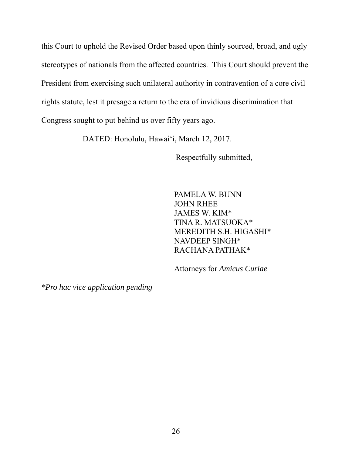this Court to uphold the Revised Order based upon thinly sourced, broad, and ugly stereotypes of nationals from the affected countries. This Court should prevent the President from exercising such unilateral authority in contravention of a core civil rights statute, lest it presage a return to the era of invidious discrimination that Congress sought to put behind us over fifty years ago.

DATED: Honolulu, Hawai'i, March 12, 2017.

Respectfully submitted,

PAMELA W. BUNN JOHN RHEE JAMES W. KIM\* TINA R. MATSUOKA\* MEREDITH S.H. HIGASHI\* NAVDEEP SINGH\* RACHANA PATHAK\*

Attorneys for *Amicus Curiae*

*\*Pro hac vice application pending*